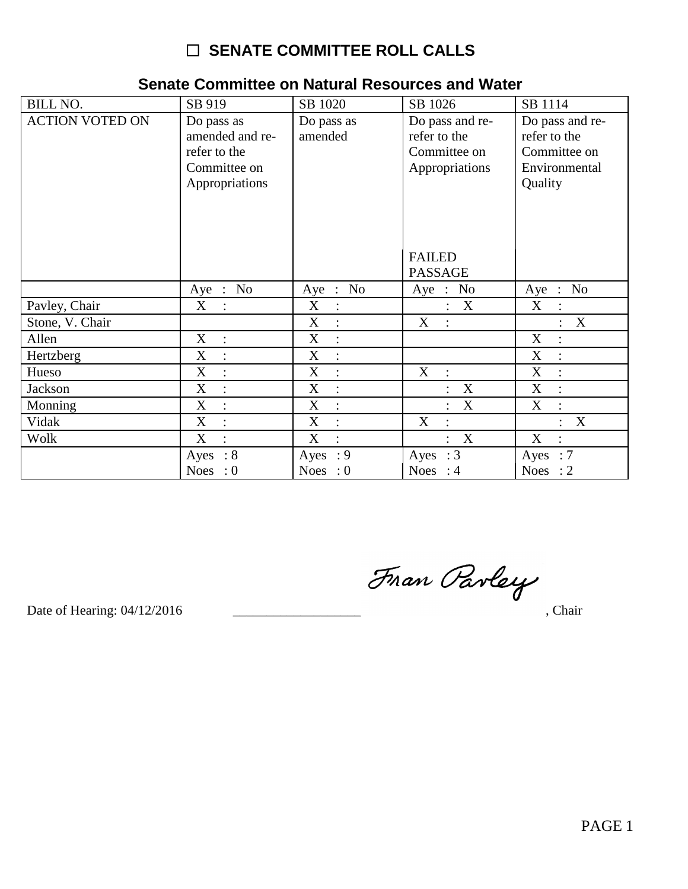| <b>BILL NO.</b>        | SB 919                                                                          | SB 1020                                   | SB 1026                                                           | SB 1114                                                                     |
|------------------------|---------------------------------------------------------------------------------|-------------------------------------------|-------------------------------------------------------------------|-----------------------------------------------------------------------------|
| <b>ACTION VOTED ON</b> | Do pass as<br>amended and re-<br>refer to the<br>Committee on<br>Appropriations | Do pass as<br>amended                     | Do pass and re-<br>refer to the<br>Committee on<br>Appropriations | Do pass and re-<br>refer to the<br>Committee on<br>Environmental<br>Quality |
|                        |                                                                                 |                                           | <b>FAILED</b><br><b>PASSAGE</b>                                   |                                                                             |
|                        | Aye : No                                                                        | $\therefore$ No<br>Aye                    | N <sub>o</sub><br>$Aye$ :                                         | Aye : No                                                                    |
| Pavley, Chair          | X                                                                               | $\boldsymbol{\mathrm{X}}$<br>$\therefore$ | X<br>$\ddot{\cdot}$                                               | $X_{\mathcal{E}}$                                                           |
| Stone, V. Chair        |                                                                                 | X<br>$\ddot{\cdot}$                       | X<br>$\ddot{\phantom{a}}$                                         | X<br>$\ddot{\cdot}$                                                         |
| Allen                  | X<br>$\ddot{\cdot}$                                                             | X<br>$\ddot{\cdot}$                       |                                                                   | X<br>$\therefore$                                                           |
| Hertzberg              | X<br>$\ddot{\cdot}$                                                             | X<br>$\ddot{\cdot}$                       |                                                                   | X<br>$\div$                                                                 |
| Hueso                  | X<br>$\ddot{\phantom{a}}$                                                       | X<br>$\ddot{\cdot}$                       | X<br>$\ddot{\phantom{a}}$                                         | X                                                                           |
| Jackson                | X<br>$\ddot{\phantom{a}}$                                                       | X<br>$\ddot{\cdot}$                       | $\boldsymbol{\mathrm{X}}$                                         | X<br>$\mathbb{R}^2$                                                         |
| Monning                | X<br>$\ddot{\cdot}$                                                             | X<br>$\ddot{ }$                           | X<br>$\ddot{\cdot}$                                               | X<br>$\ddot{\cdot}$                                                         |
| Vidak                  | X<br>$\ddot{\cdot}$                                                             | X<br>$\ddot{\cdot}$                       | X<br>$\ddot{\cdot}$                                               | X<br>$\ddot{\phantom{a}}$                                                   |
| Wolk                   | X<br>$\bullet$                                                                  | X                                         | X<br>$\ddot{\cdot}$                                               | X<br>$\ddot{\cdot}$                                                         |
|                        | $\therefore 8$<br>Ayes                                                          | : 9<br>Ayes                               | Ayes : $3$                                                        | Ayes : $7$                                                                  |
|                        | Noes : $0$                                                                      | Noes : $0$                                | Noes : $4$                                                        | Noes : $2$                                                                  |

#### Senate Committee on Natural Resources and Water

Fran Parley

Date of Hearing: 04/12/2016

, Chair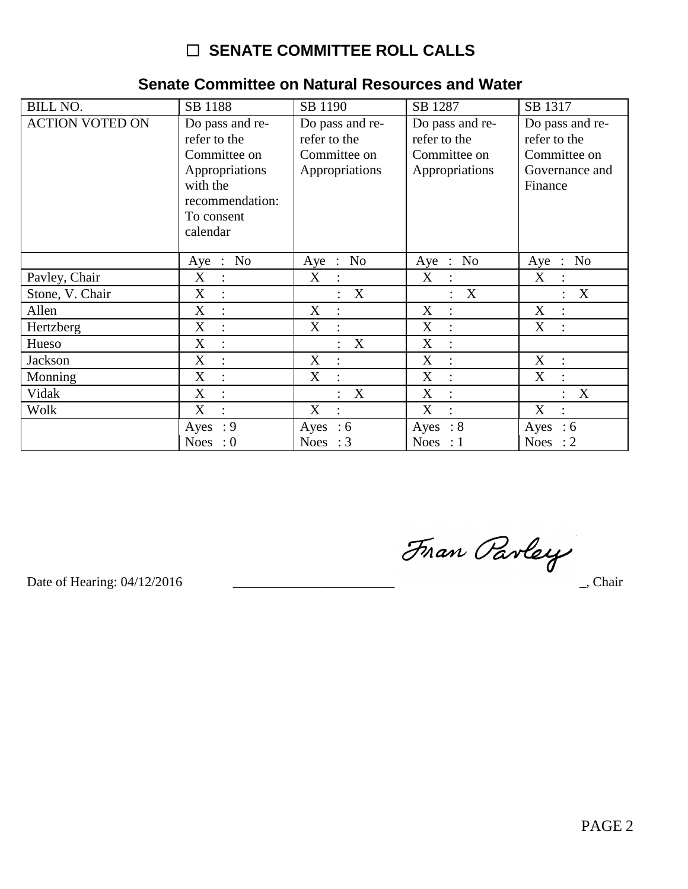| <b>BILL NO.</b>        | SB 1188                                                                                                                    | SB 1190                                                           | SB 1287                                                           | SB 1317                                                                      |
|------------------------|----------------------------------------------------------------------------------------------------------------------------|-------------------------------------------------------------------|-------------------------------------------------------------------|------------------------------------------------------------------------------|
| <b>ACTION VOTED ON</b> | Do pass and re-<br>refer to the<br>Committee on<br>Appropriations<br>with the<br>recommendation:<br>To consent<br>calendar | Do pass and re-<br>refer to the<br>Committee on<br>Appropriations | Do pass and re-<br>refer to the<br>Committee on<br>Appropriations | Do pass and re-<br>refer to the<br>Committee on<br>Governance and<br>Finance |
|                        | N <sub>0</sub><br>Aye<br>$\cdot$ :                                                                                         | N <sub>o</sub><br>Aye<br>$\mathbb{R}^2$                           | N <sub>o</sub><br>Aye<br>$\therefore$                             | N <sub>0</sub><br>$Aye$ :                                                    |
| Pavley, Chair          | X<br>$\cdot$ :                                                                                                             | X<br>$\ddot{\cdot}$                                               | X<br>$\cdot$ :                                                    | X<br>$\ddot{\phantom{a}}$                                                    |
| Stone, V. Chair        | X                                                                                                                          | X                                                                 | X                                                                 | X                                                                            |
| Allen                  | X                                                                                                                          | X                                                                 | X                                                                 | X                                                                            |
| Hertzberg              | X                                                                                                                          | X                                                                 | X                                                                 | X                                                                            |
| Hueso                  | X<br>$\ddot{\cdot}$                                                                                                        | X                                                                 | X<br>$\ddot{\cdot}$                                               |                                                                              |
| Jackson                | X                                                                                                                          | X                                                                 | X                                                                 | X                                                                            |
| Monning                | X                                                                                                                          | X                                                                 | X                                                                 | X                                                                            |
| Vidak                  | X                                                                                                                          | X                                                                 | X                                                                 | X                                                                            |
| Wolk                   | X                                                                                                                          | X<br>$\ddot{\cdot}$                                               | X<br>$\ddot{\cdot}$                                               | X<br>$\ddot{\phantom{a}}$                                                    |
|                        | : 9<br>Ayes                                                                                                                | Ayes<br>$\therefore$ 6                                            | $\therefore 8$<br>Ayes                                            | Ayes<br>:6                                                                   |
|                        | Noes : $0$                                                                                                                 | Noes : $3$                                                        | Noes : $1$                                                        | Noes : $2$                                                                   |

#### Senate Committee on Natural Resources and Water

Fran Parley

Date of Hearing: 04/12/2016

 $\overline{\phantom{a}}$ , Chair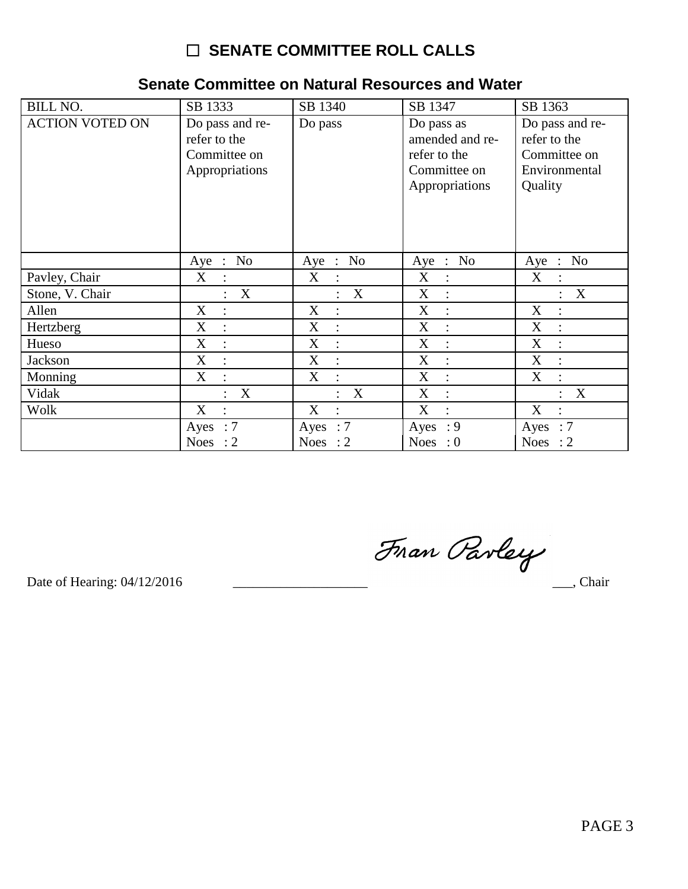#### Senate Committee on Natural Resources and Water

| <b>BILL NO.</b>        | SB 1333                                                           | SB 1340          | SB 1347                                                                         | SB 1363                                                                     |
|------------------------|-------------------------------------------------------------------|------------------|---------------------------------------------------------------------------------|-----------------------------------------------------------------------------|
| <b>ACTION VOTED ON</b> | Do pass and re-<br>refer to the<br>Committee on<br>Appropriations | Do pass          | Do pass as<br>amended and re-<br>refer to the<br>Committee on<br>Appropriations | Do pass and re-<br>refer to the<br>Committee on<br>Environmental<br>Quality |
|                        | Aye : No                                                          | Aye : No         | Aye : No                                                                        | Aye : No                                                                    |
| Pavley, Chair          | X                                                                 | X                | X                                                                               | X                                                                           |
|                        | $\ddot{\cdot}$                                                    | $\ddot{\cdot}$   | $\mathbb{R}$                                                                    | $\ddot{\cdot}$                                                              |
| Stone, V. Chair        | X<br>$\ddot{\cdot}$                                               | $\boldsymbol{X}$ | $X_{\mathcal{I}}$<br>$\cdot$ :                                                  | X<br>$\ddot{\cdot}$                                                         |
| Allen                  | X<br>$\ddot{\cdot}$                                               | X                | X<br>$\ddot{\cdot}$                                                             | X<br>$\ddot{\cdot}$                                                         |
| Hertzberg              | X                                                                 | X                | X                                                                               | X                                                                           |
|                        | $\ddot{\cdot}$                                                    | $\ddot{\cdot}$   | $\ddot{\cdot}$                                                                  | $\ddot{\cdot}$                                                              |
| Hueso                  | X                                                                 | X                | X                                                                               | X                                                                           |
|                        | $\ddot{\cdot}$                                                    | $\ddot{\cdot}$   | $\ddot{\cdot}$                                                                  | $\ddot{\cdot}$                                                              |
| Jackson                | X                                                                 | X                | X                                                                               | X                                                                           |
|                        | $\ddot{\cdot}$                                                    | $\ddot{\cdot}$   | $\ddot{\cdot}$                                                                  | $\ddot{\cdot}$                                                              |
| Monning                | X                                                                 | X                | X                                                                               | X                                                                           |
|                        | $\ddot{\cdot}$                                                    | $\ddot{\cdot}$   | $\ddot{\cdot}$                                                                  | $\ddot{\cdot}$                                                              |
| Vidak                  | $\mathbf{X}$                                                      | $\mathbf{X}$     | X                                                                               | $\boldsymbol{\mathrm{X}}$                                                   |
|                        | $\ddot{\cdot}$                                                    | $\ddot{\cdot}$   | $\ddot{\cdot}$                                                                  | $\ddot{\cdot}$                                                              |
| Wolk                   | X                                                                 | X                | X                                                                               | X                                                                           |
|                        | $\ddot{\phantom{a}}$                                              | $\vdots$         | $\ddot{\cdot}$                                                                  | $\ddot{\cdot}$                                                              |
|                        | Ayes : $7$                                                        | Ayes : $7$       | Ayes: 9                                                                         | Ayes : $7$                                                                  |
|                        | Noes : $2$                                                        | Noes : $2$       | <b>Noes</b><br>$\cdot 0$                                                        | Noes<br>$\therefore$ 2                                                      |

Fran Parley

Date of Hearing: 04/12/2016

 $\_\_$ , Chair